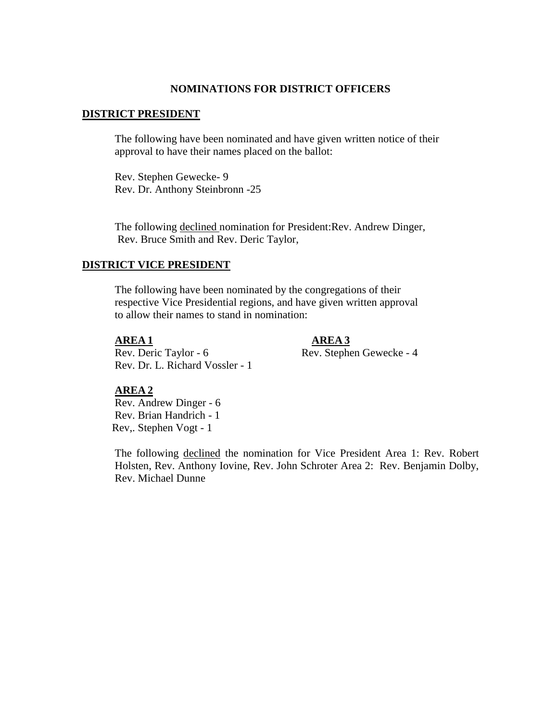### **NOMINATIONS FOR DISTRICT OFFICERS**

### **DISTRICT PRESIDENT**

The following have been nominated and have given written notice of their approval to have their names placed on the ballot:

Rev. Stephen Gewecke- 9 Rev. Dr. Anthony Steinbronn -25

The following declined nomination for President:Rev. Andrew Dinger, Rev. Bruce Smith and Rev. Deric Taylor,

## **DISTRICT VICE PRESIDENT**

The following have been nominated by the congregations of their respective Vice Presidential regions, and have given written approval to allow their names to stand in nomination:

**AREA 1 AREA 3**

Rev. Deric Taylor - 6 Rev. Stephen Gewecke - 4

Rev. Dr. L. Richard Vossler - 1

# **AREA 2**

Rev. Andrew Dinger - 6 Rev. Brian Handrich - 1 Rev,. Stephen Vogt - 1

The following declined the nomination for Vice President Area 1: Rev. Robert Holsten, Rev. Anthony Iovine, Rev. John Schroter Area 2: Rev. Benjamin Dolby, Rev. Michael Dunne